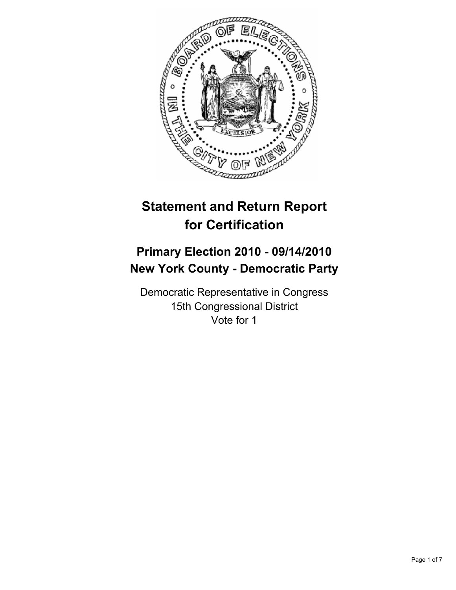

# **Statement and Return Report for Certification**

## **Primary Election 2010 - 09/14/2010 New York County - Democratic Party**

Democratic Representative in Congress 15th Congressional District Vote for 1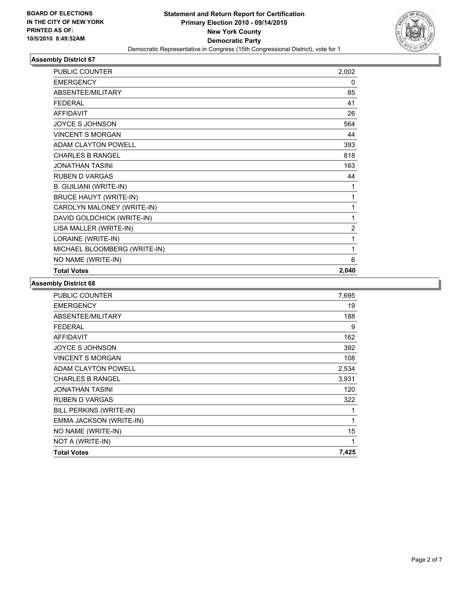

| <b>PUBLIC COUNTER</b>         | 2,002          |
|-------------------------------|----------------|
| <b>EMERGENCY</b>              | 0              |
| ABSENTEE/MILITARY             | 85             |
| <b>FEDERAL</b>                | 41             |
| <b>AFFIDAVIT</b>              | 26             |
| <b>JOYCE S JOHNSON</b>        | 564            |
| <b>VINCENT S MORGAN</b>       | 44             |
| <b>ADAM CLAYTON POWELL</b>    | 393            |
| <b>CHARLES B RANGEL</b>       | 818            |
| <b>JONATHAN TASINI</b>        | 163            |
| <b>RUBEN D VARGAS</b>         | 44             |
| <b>B. GUILIANI (WRITE-IN)</b> | 1              |
| <b>BRUCE HAUYT (WRITE-IN)</b> | 1              |
| CAROLYN MALONEY (WRITE-IN)    | 1              |
| DAVID GOLDCHICK (WRITE-IN)    | 1              |
| LISA MALLER (WRITE-IN)        | $\overline{c}$ |
| LORAINE (WRITE-IN)            | 1              |
| MICHAEL BLOOMBERG (WRITE-IN)  | 1              |
| NO NAME (WRITE-IN)            | 6              |
| <b>Total Votes</b>            | 2,040          |

| PUBLIC COUNTER             | 7,695        |
|----------------------------|--------------|
| <b>EMERGENCY</b>           | 19           |
| ABSENTEE/MILITARY          | 188          |
| <b>FEDERAL</b>             | 9            |
| <b>AFFIDAVIT</b>           | 162          |
| JOYCE S JOHNSON            | 392          |
| <b>VINCENT S MORGAN</b>    | 108          |
| <b>ADAM CLAYTON POWELL</b> | 2,534        |
| <b>CHARLES B RANGEL</b>    | 3,931        |
| JONATHAN TASINI            | 120          |
| <b>RUBEN D VARGAS</b>      | 322          |
| BILL PERKINS (WRITE-IN)    | 1            |
| EMMA JACKSON (WRITE-IN)    | $\mathbf{1}$ |
| NO NAME (WRITE-IN)         | 15           |
| NOT A (WRITE-IN)           | 1            |
| <b>Total Votes</b>         | 7,425        |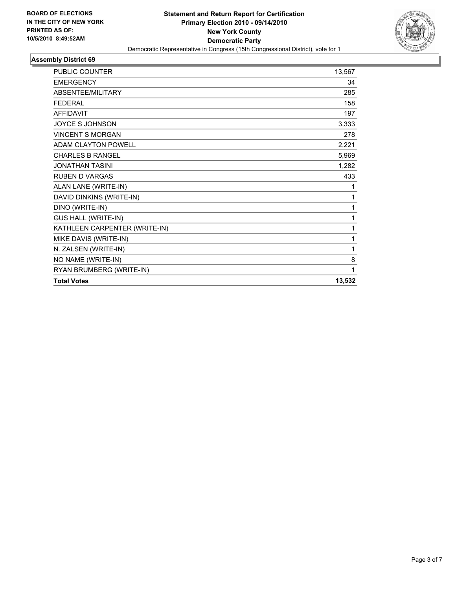

| PUBLIC COUNTER                | 13,567 |
|-------------------------------|--------|
| <b>EMERGENCY</b>              | 34     |
| ABSENTEE/MILITARY             | 285    |
| <b>FEDERAL</b>                | 158    |
| <b>AFFIDAVIT</b>              | 197    |
| <b>JOYCE S JOHNSON</b>        | 3,333  |
| <b>VINCENT S MORGAN</b>       | 278    |
| <b>ADAM CLAYTON POWELL</b>    | 2,221  |
| <b>CHARLES B RANGEL</b>       | 5,969  |
| <b>JONATHAN TASINI</b>        | 1,282  |
| <b>RUBEN D VARGAS</b>         | 433    |
| ALAN LANE (WRITE-IN)          | 1      |
| DAVID DINKINS (WRITE-IN)      | 1      |
| DINO (WRITE-IN)               | 1      |
| <b>GUS HALL (WRITE-IN)</b>    | 1      |
| KATHLEEN CARPENTER (WRITE-IN) | 1      |
| MIKE DAVIS (WRITE-IN)         | 1      |
| N. ZALSEN (WRITE-IN)          | 1      |
| NO NAME (WRITE-IN)            | 8      |
| RYAN BRUMBERG (WRITE-IN)      | 1      |
| <b>Total Votes</b>            | 13,532 |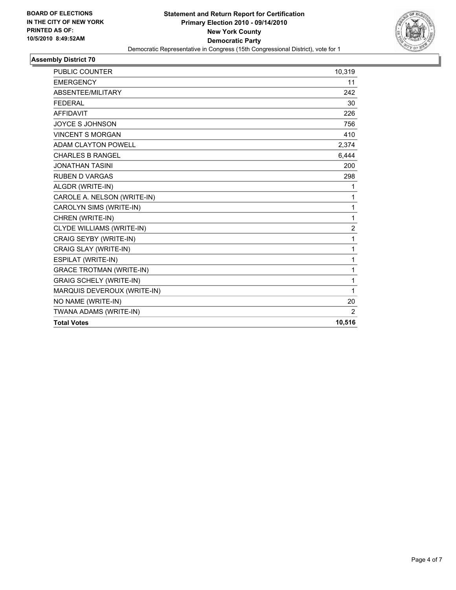

| <b>PUBLIC COUNTER</b>           | 10,319 |
|---------------------------------|--------|
| <b>EMERGENCY</b>                | 11     |
| ABSENTEE/MILITARY               | 242    |
| <b>FEDERAL</b>                  | 30     |
| <b>AFFIDAVIT</b>                | 226    |
| <b>JOYCE S JOHNSON</b>          | 756    |
| <b>VINCENT S MORGAN</b>         | 410    |
| ADAM CLAYTON POWELL             | 2,374  |
| <b>CHARLES B RANGEL</b>         | 6,444  |
| <b>JONATHAN TASINI</b>          | 200    |
| <b>RUBEN D VARGAS</b>           | 298    |
| ALGDR (WRITE-IN)                | 1      |
| CAROLE A. NELSON (WRITE-IN)     | 1      |
| CAROLYN SIMS (WRITE-IN)         | 1      |
| CHREN (WRITE-IN)                | 1      |
| CLYDE WILLIAMS (WRITE-IN)       | 2      |
| CRAIG SEYBY (WRITE-IN)          | 1      |
| CRAIG SLAY (WRITE-IN)           | 1      |
| ESPILAT (WRITE-IN)              | 1      |
| <b>GRACE TROTMAN (WRITE-IN)</b> | 1      |
| <b>GRAIG SCHELY (WRITE-IN)</b>  | 1      |
| MARQUIS DEVEROUX (WRITE-IN)     | 1      |
| NO NAME (WRITE-IN)              | 20     |
| TWANA ADAMS (WRITE-IN)          | 2      |
| <b>Total Votes</b>              | 10,516 |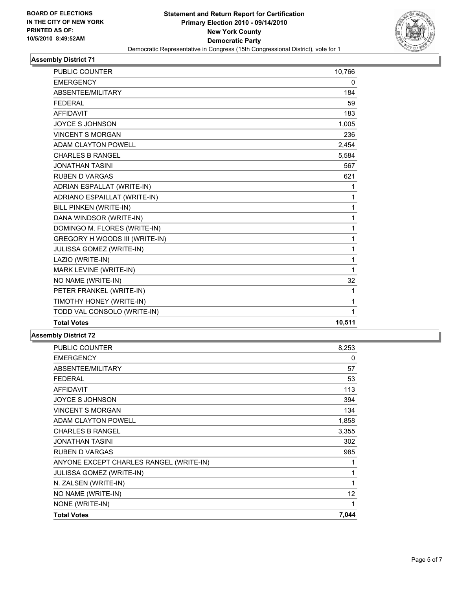

| PUBLIC COUNTER                        | 10,766 |
|---------------------------------------|--------|
| <b>EMERGENCY</b>                      | 0      |
| ABSENTEE/MILITARY                     | 184    |
| <b>FEDERAL</b>                        | 59     |
| <b>AFFIDAVIT</b>                      | 183    |
| <b>JOYCE S JOHNSON</b>                | 1,005  |
| <b>VINCENT S MORGAN</b>               | 236    |
| <b>ADAM CLAYTON POWELL</b>            | 2,454  |
| <b>CHARLES B RANGEL</b>               | 5,584  |
| <b>JONATHAN TASINI</b>                | 567    |
| <b>RUBEN D VARGAS</b>                 | 621    |
| ADRIAN ESPALLAT (WRITE-IN)            | 1      |
| ADRIANO ESPAILLAT (WRITE-IN)          | 1      |
| BILL PINKEN (WRITE-IN)                | 1      |
| DANA WINDSOR (WRITE-IN)               | 1      |
| DOMINGO M. FLORES (WRITE-IN)          | 1      |
| <b>GREGORY H WOODS III (WRITE-IN)</b> | 1      |
| JULISSA GOMEZ (WRITE-IN)              | 1      |
| LAZIO (WRITE-IN)                      | 1      |
| MARK LEVINE (WRITE-IN)                | 1      |
| NO NAME (WRITE-IN)                    | 32     |
| PETER FRANKEL (WRITE-IN)              | 1      |
| TIMOTHY HONEY (WRITE-IN)              | 1      |
| TODD VAL CONSOLO (WRITE-IN)           | 1      |
| <b>Total Votes</b>                    | 10,511 |

| PUBLIC COUNTER                          | 8,253           |
|-----------------------------------------|-----------------|
| <b>EMERGENCY</b>                        | 0               |
| ABSENTEE/MILITARY                       | 57              |
| <b>FEDERAL</b>                          | 53              |
| <b>AFFIDAVIT</b>                        | 113             |
| <b>JOYCE S JOHNSON</b>                  | 394             |
| <b>VINCENT S MORGAN</b>                 | 134             |
| ADAM CLAYTON POWELL                     | 1,858           |
| <b>CHARLES B RANGEL</b>                 | 3,355           |
| <b>JONATHAN TASINI</b>                  | 302             |
| <b>RUBEN D VARGAS</b>                   | 985             |
| ANYONE EXCEPT CHARLES RANGEL (WRITE-IN) | 1               |
| <b>JULISSA GOMEZ (WRITE-IN)</b>         | 1               |
| N. ZALSEN (WRITE-IN)                    | 1               |
| NO NAME (WRITE-IN)                      | 12 <sup>°</sup> |
| NONE (WRITE-IN)                         | 1               |
| <b>Total Votes</b>                      | 7,044           |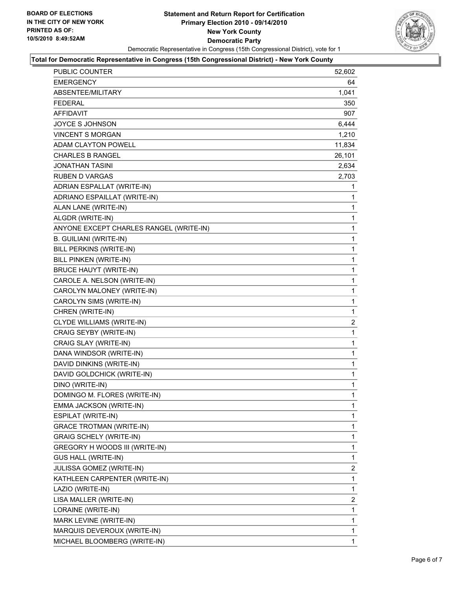

### **Total for Democratic Representative in Congress (15th Congressional District) - New York County**

| PUBLIC COUNTER                          | 52,602         |
|-----------------------------------------|----------------|
| EMERGENCY                               | 64             |
| ABSENTEE/MILITARY                       | 1,041          |
| <b>FEDERAL</b>                          | 350            |
| <b>AFFIDAVIT</b>                        | 907            |
| <b>JOYCE S JOHNSON</b>                  | 6,444          |
| <b>VINCENT S MORGAN</b>                 | 1,210          |
| <b>ADAM CLAYTON POWELL</b>              | 11,834         |
| <b>CHARLES B RANGEL</b>                 | 26,101         |
| <b>JONATHAN TASINI</b>                  | 2,634          |
| <b>RUBEN D VARGAS</b>                   | 2,703          |
| ADRIAN ESPALLAT (WRITE-IN)              | 1              |
| ADRIANO ESPAILLAT (WRITE-IN)            | 1              |
| ALAN LANE (WRITE-IN)                    | 1              |
| ALGDR (WRITE-IN)                        | 1              |
| ANYONE EXCEPT CHARLES RANGEL (WRITE-IN) | 1              |
| <b>B. GUILIANI (WRITE-IN)</b>           | 1              |
| BILL PERKINS (WRITE-IN)                 | 1              |
| BILL PINKEN (WRITE-IN)                  | 1              |
| <b>BRUCE HAUYT (WRITE-IN)</b>           | 1              |
| CAROLE A. NELSON (WRITE-IN)             | 1              |
| CAROLYN MALONEY (WRITE-IN)              | 1              |
| CAROLYN SIMS (WRITE-IN)                 | 1              |
| CHREN (WRITE-IN)                        | 1              |
| CLYDE WILLIAMS (WRITE-IN)               | $\overline{2}$ |
| CRAIG SEYBY (WRITE-IN)                  | 1              |
| CRAIG SLAY (WRITE-IN)                   | 1              |
| DANA WINDSOR (WRITE-IN)                 | 1              |
| DAVID DINKINS (WRITE-IN)                | 1              |
| DAVID GOLDCHICK (WRITE-IN)              | 1              |
| DINO (WRITE-IN)                         | 1              |
| DOMINGO M. FLORES (WRITE-IN)            | 1              |
| EMMA JACKSON (WRITE-IN)                 | 1              |
| ESPILAT (WRITE-IN)                      | 1              |
| <b>GRACE TROTMAN (WRITE-IN)</b>         | 1              |
| <b>GRAIG SCHELY (WRITE-IN)</b>          | 1              |
| GREGORY H WOODS III (WRITE-IN)          | 1              |
| GUS HALL (WRITE-IN)                     | 1              |
| JULISSA GOMEZ (WRITE-IN)                | 2              |
| KATHLEEN CARPENTER (WRITE-IN)           | 1              |
| LAZIO (WRITE-IN)                        | 1              |
| LISA MALLER (WRITE-IN)                  | 2              |
| LORAINE (WRITE-IN)                      | 1              |
| MARK LEVINE (WRITE-IN)                  | 1              |
| MARQUIS DEVEROUX (WRITE-IN)             | 1              |
| MICHAEL BLOOMBERG (WRITE-IN)            | 1              |